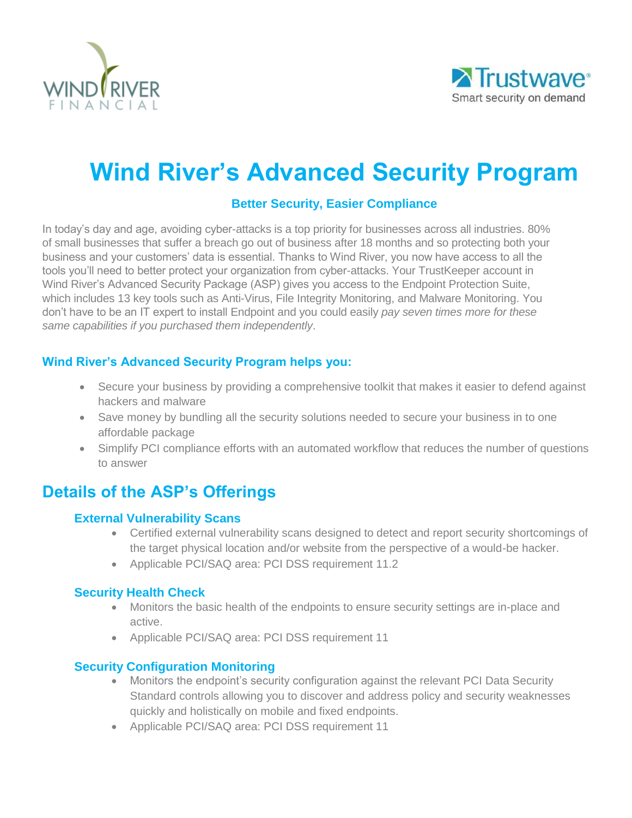



# **Wind River's Advanced Security Program**

# **Better Security, Easier Compliance**

In today's day and age, avoiding cyber-attacks is a top priority for businesses across all industries. 80% of small businesses that suffer a breach go out of business after 18 months and so protecting both your business and your customers' data is essential. Thanks to Wind River, you now have access to all the tools you'll need to better protect your organization from cyber-attacks. Your TrustKeeper account in Wind River's Advanced Security Package (ASP) gives you access to the Endpoint Protection Suite, which includes 13 key tools such as Anti-Virus, File Integrity Monitoring, and Malware Monitoring. You don't have to be an IT expert to install Endpoint and you could easily *pay seven times more for these same capabilities if you purchased them independently*.

# **Wind River's Advanced Security Program helps you:**

- Secure your business by providing a comprehensive toolkit that makes it easier to defend against hackers and malware
- Save money by bundling all the security solutions needed to secure your business in to one affordable package
- Simplify PCI compliance efforts with an automated workflow that reduces the number of questions to answer

# **Details of the ASP's Offerings**

#### **External Vulnerability Scans**

- Certified external vulnerability scans designed to detect and report security shortcomings of the target physical location and/or website from the perspective of a would-be hacker.
- Applicable PCI/SAQ area: PCI DSS requirement 11.2

# **Security Health Check**

- Monitors the basic health of the endpoints to ensure security settings are in-place and active.
- Applicable PCI/SAQ area: PCI DSS requirement 11

# **Security Configuration Monitoring**

- Monitors the endpoint's security configuration against the relevant PCI Data Security Standard controls allowing you to discover and address policy and security weaknesses quickly and holistically on mobile and fixed endpoints.
- Applicable PCI/SAQ area: PCI DSS requirement 11